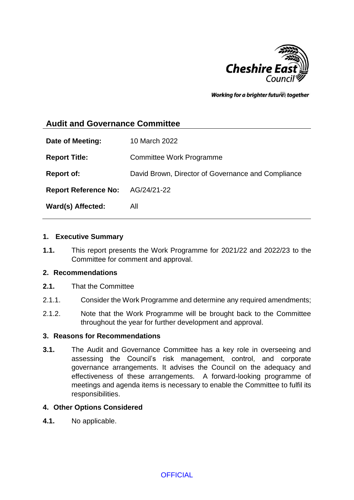

Working for a brighter futures together

# **Audit and Governance Committee**

| Date of Meeting:                        | 10 March 2022                                      |
|-----------------------------------------|----------------------------------------------------|
| <b>Report Title:</b>                    | Committee Work Programme                           |
| <b>Report of:</b>                       | David Brown, Director of Governance and Compliance |
| <b>Report Reference No:</b> AG/24/21-22 |                                                    |
| Ward(s) Affected:                       | All                                                |

#### **1. Executive Summary**

**1.1.** This report presents the Work Programme for 2021/22 and 2022/23 to the Committee for comment and approval.

#### **2. Recommendations**

- **2.1.** That the Committee
- 2.1.1. Consider the Work Programme and determine any required amendments;
- 2.1.2. Note that the Work Programme will be brought back to the Committee throughout the year for further development and approval.

### **3. Reasons for Recommendations**

**3.1.** The Audit and Governance Committee has a key role in overseeing and assessing the Council's risk management, control, and corporate governance arrangements. It advises the Council on the adequacy and effectiveness of these arrangements. A forward-looking programme of meetings and agenda items is necessary to enable the Committee to fulfil its responsibilities.

#### **4. Other Options Considered**

**4.1.** No applicable.

**OFFICIAL**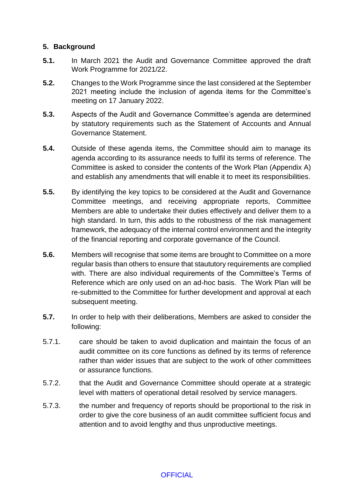## **5. Background**

- **5.1.** In March 2021 the Audit and Governance Committee approved the draft Work Programme for 2021/22.
- **5.2.** Changes to the Work Programme since the last considered at the September 2021 meeting include the inclusion of agenda items for the Committee's meeting on 17 January 2022.
- **5.3.** Aspects of the Audit and Governance Committee's agenda are determined by statutory requirements such as the Statement of Accounts and Annual Governance Statement.
- **5.4.** Outside of these agenda items, the Committee should aim to manage its agenda according to its assurance needs to fulfil its terms of reference. The Committee is asked to consider the contents of the Work Plan (Appendix A) and establish any amendments that will enable it to meet its responsibilities.
- **5.5.** By identifying the key topics to be considered at the Audit and Governance Committee meetings, and receiving appropriate reports, Committee Members are able to undertake their duties effectively and deliver them to a high standard. In turn, this adds to the robustness of the risk management framework, the adequacy of the internal control environment and the integrity of the financial reporting and corporate governance of the Council.
- **5.6.** Members will recognise that some items are brought to Committee on a more regular basis than others to ensure that staututory requirements are complied with. There are also individual requirements of the Committee's Terms of Reference which are only used on an ad-hoc basis. The Work Plan will be re-submitted to the Committee for further development and approval at each subsequent meeting.
- **5.7.** In order to help with their deliberations, Members are asked to consider the following:
- 5.7.1. care should be taken to avoid duplication and maintain the focus of an audit committee on its core functions as defined by its terms of reference rather than wider issues that are subject to the work of other committees or assurance functions.
- 5.7.2. that the Audit and Governance Committee should operate at a strategic level with matters of operational detail resolved by service managers.
- 5.7.3. the number and frequency of reports should be proportional to the risk in order to give the core business of an audit committee sufficient focus and attention and to avoid lengthy and thus unproductive meetings.

# **OFFICIAL**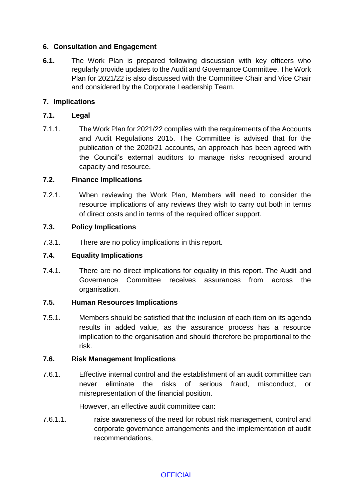# **6. Consultation and Engagement**

**6.1.** The Work Plan is prepared following discussion with key officers who regularly provide updates to the Audit and Governance Committee. The Work Plan for 2021/22 is also discussed with the Committee Chair and Vice Chair and considered by the Corporate Leadership Team.

# **7. Implications**

### **7.1. Legal**

7.1.1. The Work Plan for 2021/22 complies with the requirements of the Accounts and Audit Regulations 2015. The Committee is advised that for the publication of the 2020/21 accounts, an approach has been agreed with the Council's external auditors to manage risks recognised around capacity and resource.

### **7.2. Finance Implications**

7.2.1. When reviewing the Work Plan, Members will need to consider the resource implications of any reviews they wish to carry out both in terms of direct costs and in terms of the required officer support.

### **7.3. Policy Implications**

7.3.1. There are no policy implications in this report.

#### **7.4. Equality Implications**

7.4.1. There are no direct implications for equality in this report. The Audit and Governance Committee receives assurances from across the organisation.

# **7.5. Human Resources Implications**

7.5.1. Members should be satisfied that the inclusion of each item on its agenda results in added value, as the assurance process has a resource implication to the organisation and should therefore be proportional to the risk.

#### **7.6. Risk Management Implications**

7.6.1. Effective internal control and the establishment of an audit committee can never eliminate the risks of serious fraud, misconduct, or misrepresentation of the financial position.

However, an effective audit committee can:

7.6.1.1. raise awareness of the need for robust risk management, control and corporate governance arrangements and the implementation of audit recommendations,

# **OFFICIAL**